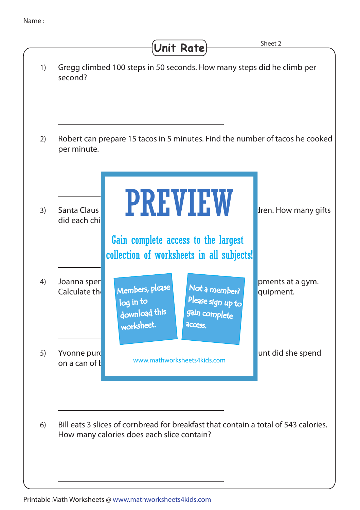